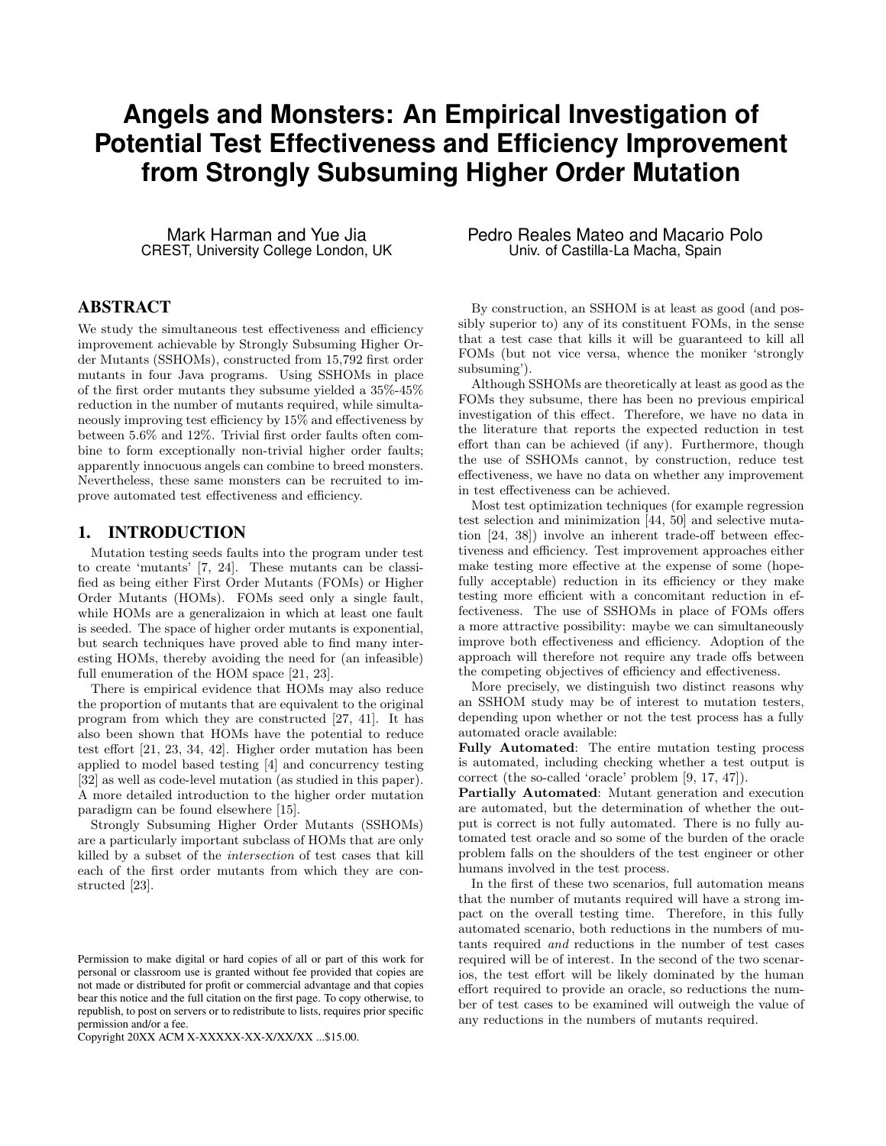# **Angels and Monsters: An Empirical Investigation of Potential Test Effectiveness and Efficiency Improvement from Strongly Subsuming Higher Order Mutation**

Mark Harman and Yue Jia CREST, University College London, UK

# ABSTRACT

We study the simultaneous test effectiveness and efficiency improvement achievable by Strongly Subsuming Higher Order Mutants (SSHOMs), constructed from 15,792 first order mutants in four Java programs. Using SSHOMs in place of the first order mutants they subsume yielded a 35%-45% reduction in the number of mutants required, while simultaneously improving test efficiency by 15% and effectiveness by between 5.6% and 12%. Trivial first order faults often combine to form exceptionally non-trivial higher order faults; apparently innocuous angels can combine to breed monsters. Nevertheless, these same monsters can be recruited to improve automated test effectiveness and efficiency.

# 1. INTRODUCTION

Mutation testing seeds faults into the program under test to create 'mutants' [7, 24]. These mutants can be classified as being either First Order Mutants (FOMs) or Higher Order Mutants (HOMs). FOMs seed only a single fault, while HOMs are a generalizaion in which at least one fault is seeded. The space of higher order mutants is exponential, but search techniques have proved able to find many interesting HOMs, thereby avoiding the need for (an infeasible) full enumeration of the HOM space [21, 23].

There is empirical evidence that HOMs may also reduce the proportion of mutants that are equivalent to the original program from which they are constructed [27, 41]. It has also been shown that HOMs have the potential to reduce test effort [21, 23, 34, 42]. Higher order mutation has been applied to model based testing [4] and concurrency testing [32] as well as code-level mutation (as studied in this paper). A more detailed introduction to the higher order mutation paradigm can be found elsewhere [15].

Strongly Subsuming Higher Order Mutants (SSHOMs) are a particularly important subclass of HOMs that are only killed by a subset of the intersection of test cases that kill each of the first order mutants from which they are constructed [23].

Copyright 20XX ACM X-XXXXX-XX-X/XX/XX ...\$15.00.

### Pedro Reales Mateo and Macario Polo Univ. of Castilla-La Macha, Spain

By construction, an SSHOM is at least as good (and possibly superior to) any of its constituent FOMs, in the sense that a test case that kills it will be guaranteed to kill all FOMs (but not vice versa, whence the moniker 'strongly subsuming').

Although SSHOMs are theoretically at least as good as the FOMs they subsume, there has been no previous empirical investigation of this effect. Therefore, we have no data in the literature that reports the expected reduction in test effort than can be achieved (if any). Furthermore, though the use of SSHOMs cannot, by construction, reduce test effectiveness, we have no data on whether any improvement in test effectiveness can be achieved.

Most test optimization techniques (for example regression test selection and minimization [44, 50] and selective mutation [24, 38]) involve an inherent trade-off between effectiveness and efficiency. Test improvement approaches either make testing more effective at the expense of some (hopefully acceptable) reduction in its efficiency or they make testing more efficient with a concomitant reduction in effectiveness. The use of SSHOMs in place of FOMs offers a more attractive possibility: maybe we can simultaneously improve both effectiveness and efficiency. Adoption of the approach will therefore not require any trade offs between the competing objectives of efficiency and effectiveness.

More precisely, we distinguish two distinct reasons why an SSHOM study may be of interest to mutation testers, depending upon whether or not the test process has a fully automated oracle available:

Fully Automated: The entire mutation testing process is automated, including checking whether a test output is correct (the so-called 'oracle' problem [9, 17, 47]).

Partially Automated: Mutant generation and execution are automated, but the determination of whether the output is correct is not fully automated. There is no fully automated test oracle and so some of the burden of the oracle problem falls on the shoulders of the test engineer or other humans involved in the test process.

In the first of these two scenarios, full automation means that the number of mutants required will have a strong impact on the overall testing time. Therefore, in this fully automated scenario, both reductions in the numbers of mutants required and reductions in the number of test cases required will be of interest. In the second of the two scenarios, the test effort will be likely dominated by the human effort required to provide an oracle, so reductions the number of test cases to be examined will outweigh the value of any reductions in the numbers of mutants required.

Permission to make digital or hard copies of all or part of this work for personal or classroom use is granted without fee provided that copies are not made or distributed for profit or commercial advantage and that copies bear this notice and the full citation on the first page. To copy otherwise, to republish, to post on servers or to redistribute to lists, requires prior specific permission and/or a fee.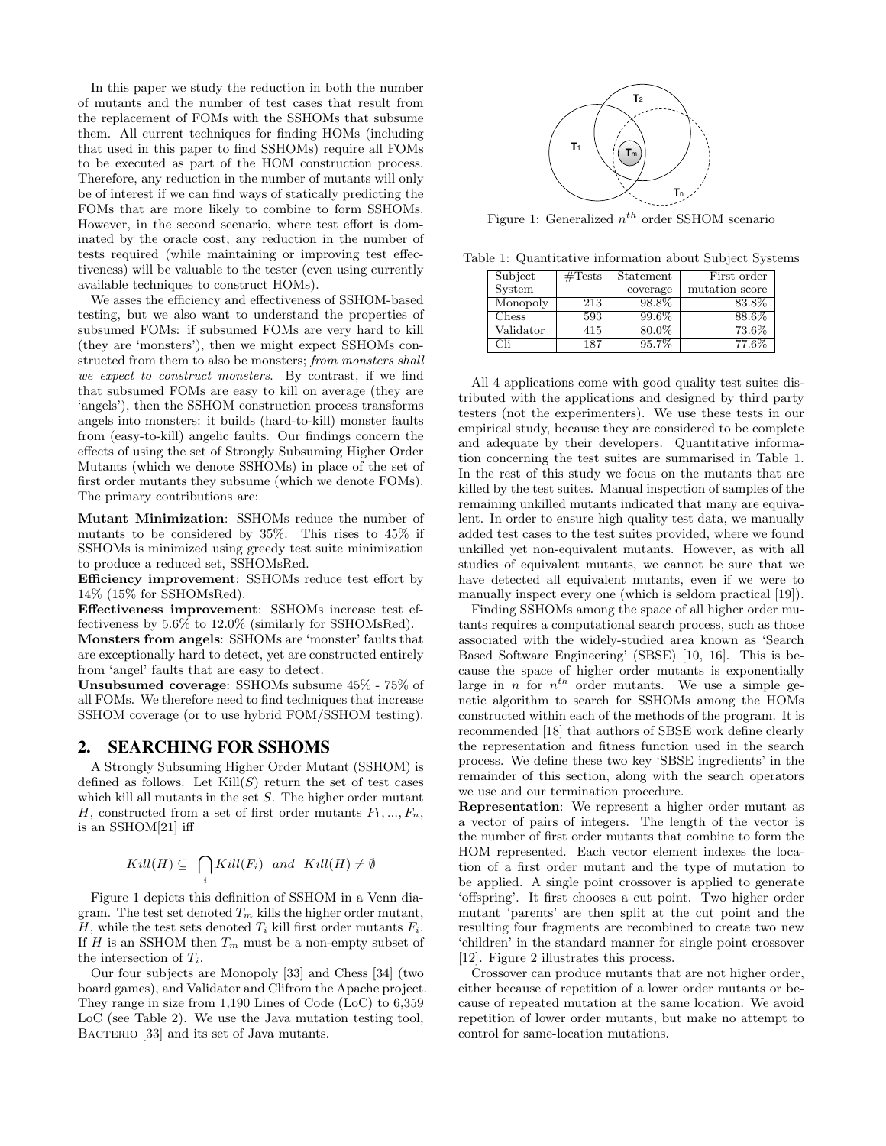In this paper we study the reduction in both the number of mutants and the number of test cases that result from the replacement of FOMs with the SSHOMs that subsume them. All current techniques for finding HOMs (including that used in this paper to find SSHOMs) require all FOMs to be executed as part of the HOM construction process. Therefore, any reduction in the number of mutants will only be of interest if we can find ways of statically predicting the FOMs that are more likely to combine to form SSHOMs. However, in the second scenario, where test effort is dominated by the oracle cost, any reduction in the number of tests required (while maintaining or improving test effectiveness) will be valuable to the tester (even using currently available techniques to construct HOMs).

We asses the efficiency and effectiveness of SSHOM-based testing, but we also want to understand the properties of subsumed FOMs: if subsumed FOMs are very hard to kill (they are 'monsters'), then we might expect SSHOMs constructed from them to also be monsters; from monsters shall we expect to construct monsters. By contrast, if we find that subsumed FOMs are easy to kill on average (they are 'angels'), then the SSHOM construction process transforms angels into monsters: it builds (hard-to-kill) monster faults from (easy-to-kill) angelic faults. Our findings concern the effects of using the set of Strongly Subsuming Higher Order Mutants (which we denote SSHOMs) in place of the set of first order mutants they subsume (which we denote FOMs). The primary contributions are:

Mutant Minimization: SSHOMs reduce the number of mutants to be considered by 35%. This rises to 45% if SSHOMs is minimized using greedy test suite minimization to produce a reduced set, SSHOMsRed.

Efficiency improvement: SSHOMs reduce test effort by 14% (15% for SSHOMsRed).

Effectiveness improvement: SSHOMs increase test effectiveness by 5.6% to 12.0% (similarly for SSHOMsRed).

Monsters from angels: SSHOMs are 'monster' faults that are exceptionally hard to detect, yet are constructed entirely from 'angel' faults that are easy to detect.

Unsubsumed coverage: SSHOMs subsume 45% - 75% of all FOMs. We therefore need to find techniques that increase SSHOM coverage (or to use hybrid FOM/SSHOM testing).

# 2. SEARCHING FOR SSHOMS

A Strongly Subsuming Higher Order Mutant (SSHOM) is defined as follows. Let  $Kill(S)$  return the set of test cases which kill all mutants in the set S. The higher order mutant H, constructed from a set of first order mutants  $F_1, ..., F_n$ , is an SSHOM[21] iff

$$
Kill(H) \subseteq \bigcap_i Kill(F_i) \text{ and } Kill(H) \neq \emptyset
$$

Figure 1 depicts this definition of SSHOM in a Venn diagram. The test set denoted  $T_m$  kills the higher order mutant, H, while the test sets denoted  $T_i$  kill first order mutants  $F_i$ . If H is an SSHOM then  $T_m$  must be a non-empty subset of the intersection of  $T_i$ .

Our four subjects are Monopoly [33] and Chess [34] (two board games), and Validator and Clifrom the Apache project. They range in size from 1,190 Lines of Code (LoC) to 6,359 LoC (see Table 2). We use the Java mutation testing tool, BACTERIO [33] and its set of Java mutants.



Figure 1: Generalized  $n^{th}$  order SSHOM scenario

Table 1: Quantitative information about Subject Systems

| Subject         | $\#\text{Tests}$ | Statement | First order    |
|-----------------|------------------|-----------|----------------|
| System          |                  | coverage  | mutation score |
| Monopoly        | 213              | 98.8%     | 83.8%          |
| Chess           | 593              | 99.6%     | 88.6%          |
| $\rm Validator$ | 415              | $80.0\%$  | 73.6%          |
| Cli             | 187              | 95.7%     | $77.6\%$       |

All 4 applications come with good quality test suites distributed with the applications and designed by third party testers (not the experimenters). We use these tests in our empirical study, because they are considered to be complete and adequate by their developers. Quantitative information concerning the test suites are summarised in Table 1. In the rest of this study we focus on the mutants that are killed by the test suites. Manual inspection of samples of the remaining unkilled mutants indicated that many are equivalent. In order to ensure high quality test data, we manually added test cases to the test suites provided, where we found unkilled yet non-equivalent mutants. However, as with all studies of equivalent mutants, we cannot be sure that we have detected all equivalent mutants, even if we were to manually inspect every one (which is seldom practical [19]).

Finding SSHOMs among the space of all higher order mutants requires a computational search process, such as those associated with the widely-studied area known as 'Search Based Software Engineering' (SBSE) [10, 16]. This is because the space of higher order mutants is exponentially large in *n* for  $n^{th}$  order mutants. We use a simple genetic algorithm to search for SSHOMs among the HOMs constructed within each of the methods of the program. It is recommended [18] that authors of SBSE work define clearly the representation and fitness function used in the search process. We define these two key 'SBSE ingredients' in the remainder of this section, along with the search operators we use and our termination procedure.

Representation: We represent a higher order mutant as a vector of pairs of integers. The length of the vector is the number of first order mutants that combine to form the HOM represented. Each vector element indexes the location of a first order mutant and the type of mutation to be applied. A single point crossover is applied to generate 'offspring'. It first chooses a cut point. Two higher order mutant 'parents' are then split at the cut point and the resulting four fragments are recombined to create two new 'children' in the standard manner for single point crossover [12]. Figure 2 illustrates this process.

Crossover can produce mutants that are not higher order, either because of repetition of a lower order mutants or because of repeated mutation at the same location. We avoid repetition of lower order mutants, but make no attempt to control for same-location mutations.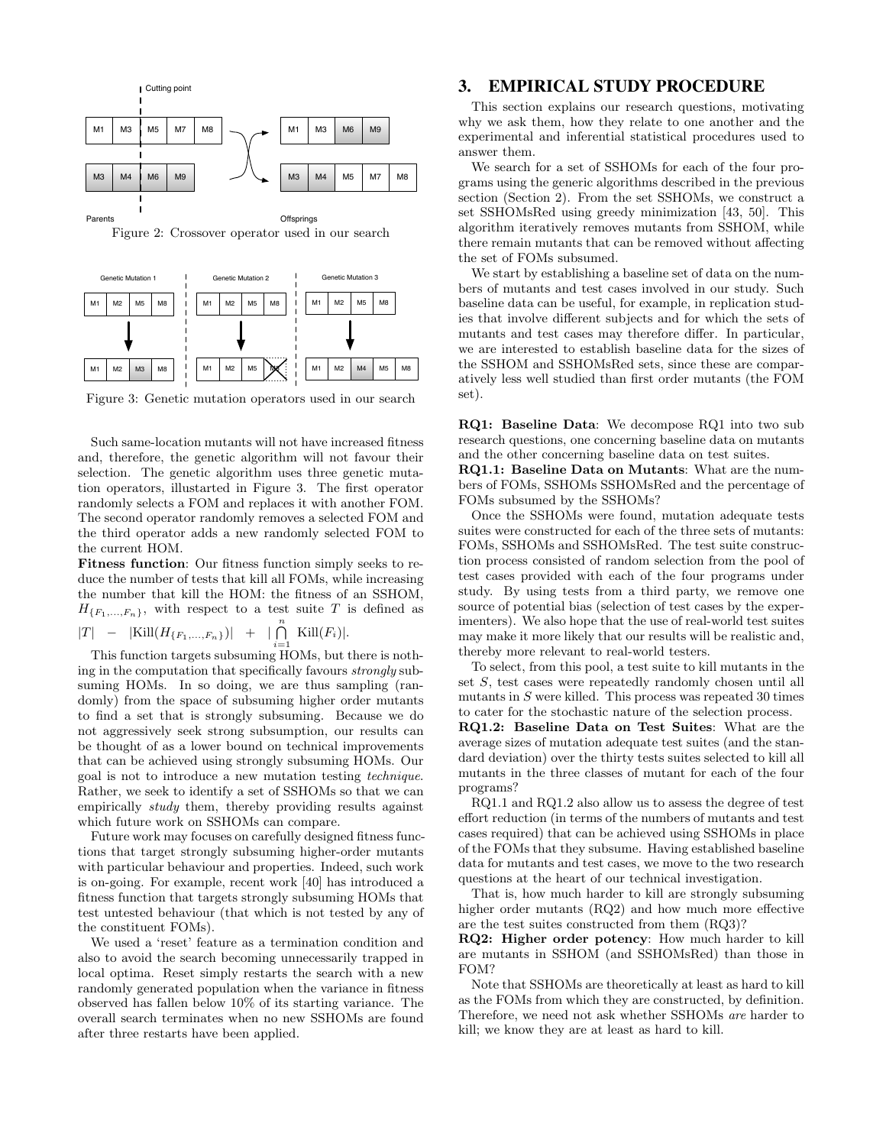

Figure 2: Crossover operator used in our search



Figure 3: Genetic mutation operators used in our search

Such same-location mutants will not have increased fitness and, therefore, the genetic algorithm will not favour their selection. The genetic algorithm uses three genetic mutation operators, illustarted in Figure 3. The first operator randomly selects a FOM and replaces it with another FOM. The second operator randomly removes a selected FOM and the third operator adds a new randomly selected FOM to the current HOM.

Fitness function: Our fitness function simply seeks to reduce the number of tests that kill all FOMs, while increasing the number that kill the HOM: the fitness of an SSHOM,  $H_{\{F_1,...,F_n\}}$ , with respect to a test suite T is defined as

$$
|T| - |Kill(H_{\{F_1,...,F_n\}})| + |\bigcap_{i=1}^n Kill(F_i)|.
$$

This function targets subsuming HOMs, but there is nothing in the computation that specifically favours strongly subsuming HOMs. In so doing, we are thus sampling (randomly) from the space of subsuming higher order mutants to find a set that is strongly subsuming. Because we do not aggressively seek strong subsumption, our results can be thought of as a lower bound on technical improvements that can be achieved using strongly subsuming HOMs. Our goal is not to introduce a new mutation testing technique. Rather, we seek to identify a set of SSHOMs so that we can empirically study them, thereby providing results against which future work on SSHOMs can compare.

Future work may focuses on carefully designed fitness functions that target strongly subsuming higher-order mutants with particular behaviour and properties. Indeed, such work is on-going. For example, recent work [40] has introduced a fitness function that targets strongly subsuming HOMs that test untested behaviour (that which is not tested by any of the constituent FOMs).

We used a 'reset' feature as a termination condition and also to avoid the search becoming unnecessarily trapped in local optima. Reset simply restarts the search with a new randomly generated population when the variance in fitness observed has fallen below 10% of its starting variance. The overall search terminates when no new SSHOMs are found after three restarts have been applied.

# 3. EMPIRICAL STUDY PROCEDURE

This section explains our research questions, motivating why we ask them, how they relate to one another and the experimental and inferential statistical procedures used to answer them.

We search for a set of SSHOMs for each of the four programs using the generic algorithms described in the previous section (Section 2). From the set SSHOMs, we construct a set SSHOMsRed using greedy minimization [43, 50]. This algorithm iteratively removes mutants from SSHOM, while there remain mutants that can be removed without affecting the set of FOMs subsumed.

We start by establishing a baseline set of data on the numbers of mutants and test cases involved in our study. Such baseline data can be useful, for example, in replication studies that involve different subjects and for which the sets of mutants and test cases may therefore differ. In particular, we are interested to establish baseline data for the sizes of the SSHOM and SSHOMsRed sets, since these are comparatively less well studied than first order mutants (the FOM set).

RQ1: Baseline Data: We decompose RQ1 into two sub research questions, one concerning baseline data on mutants and the other concerning baseline data on test suites.

RQ1.1: Baseline Data on Mutants: What are the numbers of FOMs, SSHOMs SSHOMsRed and the percentage of FOMs subsumed by the SSHOMs?

Once the SSHOMs were found, mutation adequate tests suites were constructed for each of the three sets of mutants: FOMs, SSHOMs and SSHOMsRed. The test suite construction process consisted of random selection from the pool of test cases provided with each of the four programs under study. By using tests from a third party, we remove one source of potential bias (selection of test cases by the experimenters). We also hope that the use of real-world test suites may make it more likely that our results will be realistic and, thereby more relevant to real-world testers.

To select, from this pool, a test suite to kill mutants in the set S, test cases were repeatedly randomly chosen until all mutants in  $S$  were killed. This process was repeated 30 times to cater for the stochastic nature of the selection process.

RQ1.2: Baseline Data on Test Suites: What are the average sizes of mutation adequate test suites (and the standard deviation) over the thirty tests suites selected to kill all mutants in the three classes of mutant for each of the four programs?

RQ1.1 and RQ1.2 also allow us to assess the degree of test effort reduction (in terms of the numbers of mutants and test cases required) that can be achieved using SSHOMs in place of the FOMs that they subsume. Having established baseline data for mutants and test cases, we move to the two research questions at the heart of our technical investigation.

That is, how much harder to kill are strongly subsuming higher order mutants (RQ2) and how much more effective are the test suites constructed from them (RQ3)?

RQ2: Higher order potency: How much harder to kill are mutants in SSHOM (and SSHOMsRed) than those in FOM?

Note that SSHOMs are theoretically at least as hard to kill as the FOMs from which they are constructed, by definition. Therefore, we need not ask whether SSHOMs are harder to kill; we know they are at least as hard to kill.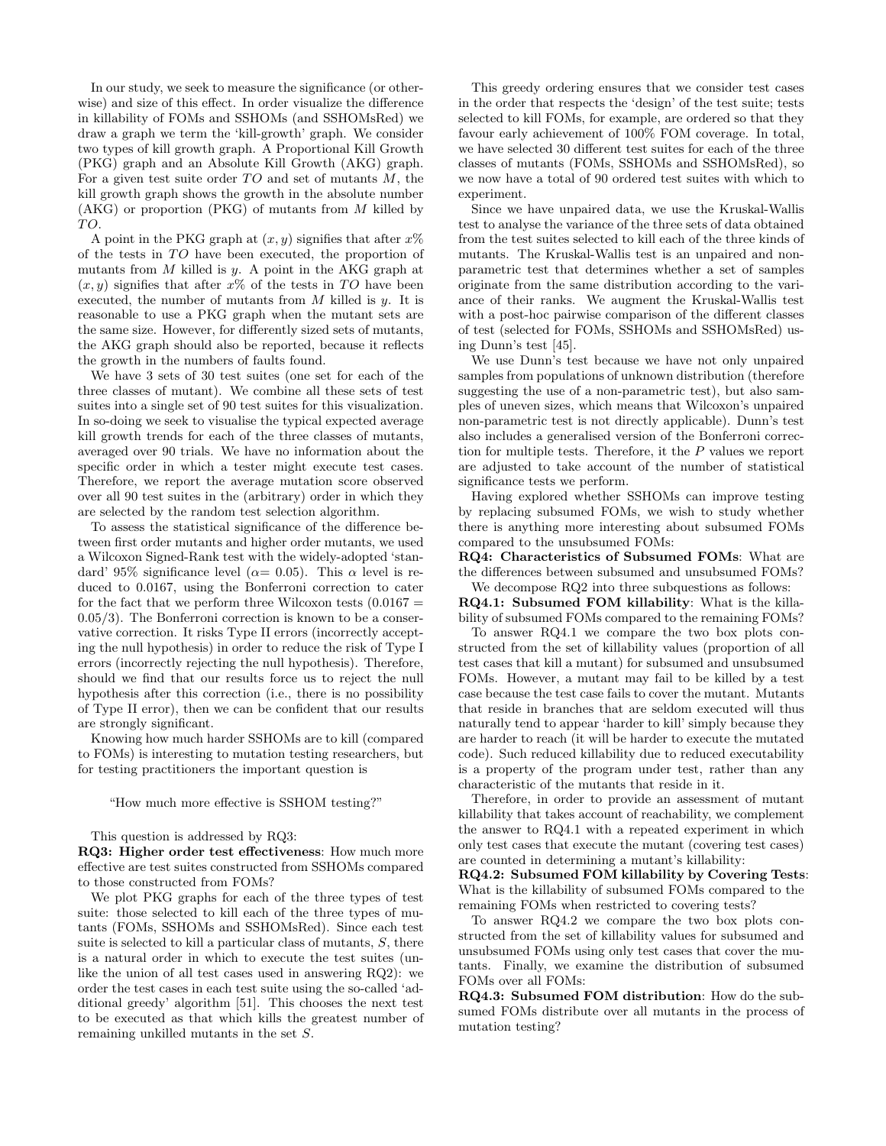In our study, we seek to measure the significance (or otherwise) and size of this effect. In order visualize the difference in killability of FOMs and SSHOMs (and SSHOMsRed) we draw a graph we term the 'kill-growth' graph. We consider two types of kill growth graph. A Proportional Kill Growth (PKG) graph and an Absolute Kill Growth (AKG) graph. For a given test suite order  $TO$  and set of mutants  $M$ , the kill growth graph shows the growth in the absolute number (AKG) or proportion (PKG) of mutants from M killed by TO.

A point in the PKG graph at  $(x, y)$  signifies that after  $x\%$ of the tests in  $TO$  have been executed, the proportion of mutants from  $M$  killed is  $y$ . A point in the AKG graph at  $(x, y)$  signifies that after  $x\%$  of the tests in TO have been executed, the number of mutants from  $M$  killed is  $y$ . It is reasonable to use a PKG graph when the mutant sets are the same size. However, for differently sized sets of mutants, the AKG graph should also be reported, because it reflects the growth in the numbers of faults found.

We have 3 sets of 30 test suites (one set for each of the three classes of mutant). We combine all these sets of test suites into a single set of 90 test suites for this visualization. In so-doing we seek to visualise the typical expected average kill growth trends for each of the three classes of mutants, averaged over 90 trials. We have no information about the specific order in which a tester might execute test cases. Therefore, we report the average mutation score observed over all 90 test suites in the (arbitrary) order in which they are selected by the random test selection algorithm.

To assess the statistical significance of the difference between first order mutants and higher order mutants, we used a Wilcoxon Signed-Rank test with the widely-adopted 'standard' 95% significance level ( $\alpha$  = 0.05). This  $\alpha$  level is reduced to 0.0167, using the Bonferroni correction to cater for the fact that we perform three Wilcoxon tests  $(0.0167 =$ 0.05/3). The Bonferroni correction is known to be a conservative correction. It risks Type II errors (incorrectly accepting the null hypothesis) in order to reduce the risk of Type I errors (incorrectly rejecting the null hypothesis). Therefore, should we find that our results force us to reject the null hypothesis after this correction (i.e., there is no possibility of Type II error), then we can be confident that our results are strongly significant.

Knowing how much harder SSHOMs are to kill (compared to FOMs) is interesting to mutation testing researchers, but for testing practitioners the important question is

#### "How much more effective is SSHOM testing?"

#### This question is addressed by RQ3:

RQ3: Higher order test effectiveness: How much more effective are test suites constructed from SSHOMs compared to those constructed from FOMs?

We plot PKG graphs for each of the three types of test suite: those selected to kill each of the three types of mutants (FOMs, SSHOMs and SSHOMsRed). Since each test suite is selected to kill a particular class of mutants, S, there is a natural order in which to execute the test suites (unlike the union of all test cases used in answering RQ2): we order the test cases in each test suite using the so-called 'additional greedy' algorithm [51]. This chooses the next test to be executed as that which kills the greatest number of remaining unkilled mutants in the set S.

This greedy ordering ensures that we consider test cases in the order that respects the 'design' of the test suite; tests selected to kill FOMs, for example, are ordered so that they favour early achievement of 100% FOM coverage. In total, we have selected 30 different test suites for each of the three classes of mutants (FOMs, SSHOMs and SSHOMsRed), so we now have a total of 90 ordered test suites with which to experiment.

Since we have unpaired data, we use the Kruskal-Wallis test to analyse the variance of the three sets of data obtained from the test suites selected to kill each of the three kinds of mutants. The Kruskal-Wallis test is an unpaired and nonparametric test that determines whether a set of samples originate from the same distribution according to the variance of their ranks. We augment the Kruskal-Wallis test with a post-hoc pairwise comparison of the different classes of test (selected for FOMs, SSHOMs and SSHOMsRed) using Dunn's test [45].

We use Dunn's test because we have not only unpaired samples from populations of unknown distribution (therefore suggesting the use of a non-parametric test), but also samples of uneven sizes, which means that Wilcoxon's unpaired non-parametric test is not directly applicable). Dunn's test also includes a generalised version of the Bonferroni correction for multiple tests. Therefore, it the P values we report are adjusted to take account of the number of statistical significance tests we perform.

Having explored whether SSHOMs can improve testing by replacing subsumed FOMs, we wish to study whether there is anything more interesting about subsumed FOMs compared to the unsubsumed FOMs:

RQ4: Characteristics of Subsumed FOMs: What are the differences between subsumed and unsubsumed FOMs?

We decompose RQ2 into three subquestions as follows: RQ4.1: Subsumed FOM killability: What is the killability of subsumed FOMs compared to the remaining FOMs?

To answer RQ4.1 we compare the two box plots constructed from the set of killability values (proportion of all test cases that kill a mutant) for subsumed and unsubsumed FOMs. However, a mutant may fail to be killed by a test case because the test case fails to cover the mutant. Mutants that reside in branches that are seldom executed will thus naturally tend to appear 'harder to kill' simply because they are harder to reach (it will be harder to execute the mutated code). Such reduced killability due to reduced executability is a property of the program under test, rather than any characteristic of the mutants that reside in it.

Therefore, in order to provide an assessment of mutant killability that takes account of reachability, we complement the answer to RQ4.1 with a repeated experiment in which only test cases that execute the mutant (covering test cases) are counted in determining a mutant's killability:

RQ4.2: Subsumed FOM killability by Covering Tests: What is the killability of subsumed FOMs compared to the remaining FOMs when restricted to covering tests?

To answer RQ4.2 we compare the two box plots constructed from the set of killability values for subsumed and unsubsumed FOMs using only test cases that cover the mutants. Finally, we examine the distribution of subsumed FOMs over all FOMs:

RQ4.3: Subsumed FOM distribution: How do the subsumed FOMs distribute over all mutants in the process of mutation testing?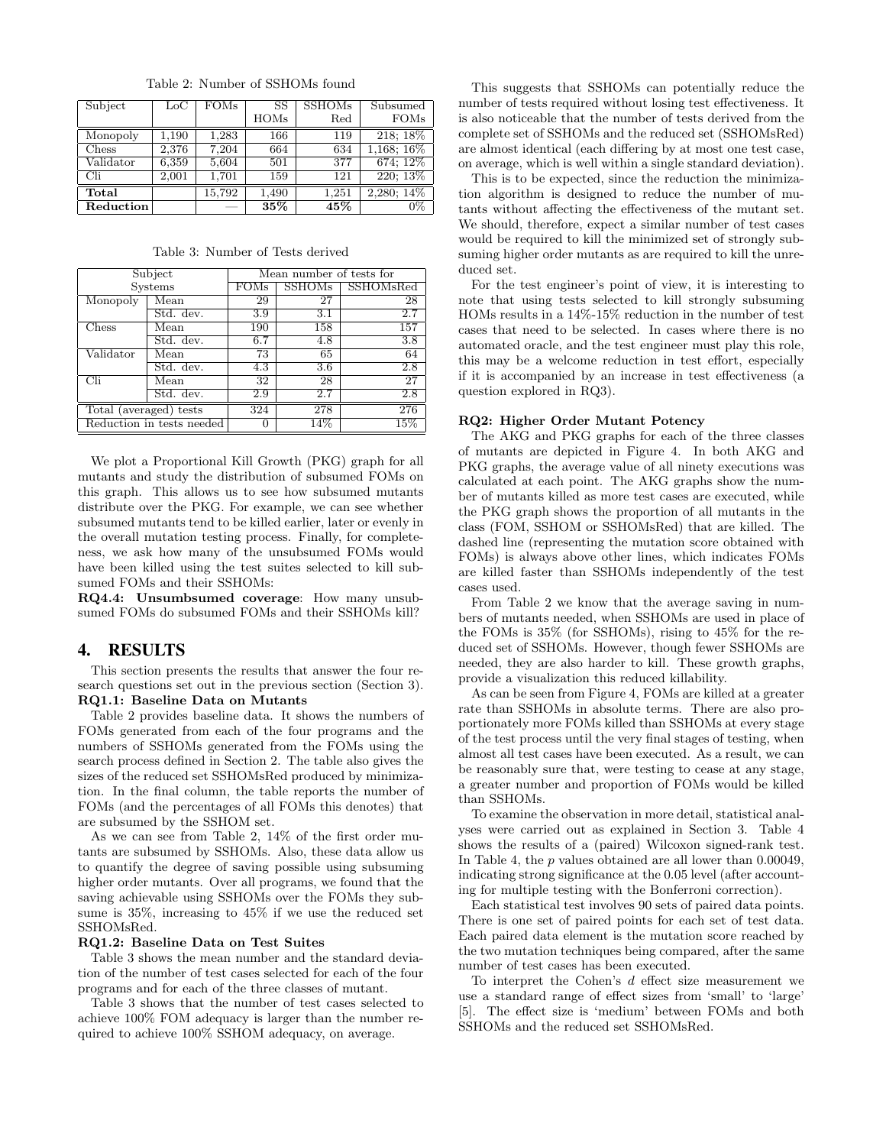| Subject         | $_{\rm LoC}$ | FOMs   | SS          | <b>SSHOMs</b> | Subsumed      |
|-----------------|--------------|--------|-------------|---------------|---------------|
|                 |              |        | <b>HOMs</b> | Red           | <b>FOMs</b>   |
| Monopoly        | $1.190\,$    | 1,283  | 166         | 119           | 218: 18%      |
| Chess           | 2,376        | 7,204  | 664         | 634           | $1,168; 16\%$ |
| Validator       | 6,359        | 5,604  | 501         | 377           | 674; 12%      |
| Cl <sub>i</sub> | 2.001        | 1,701  | 159         | 121           | 220: 13%      |
| Total           |              | 15,792 | 1,490       | 1,251         | $2,280; 14\%$ |
| Reduction       |              |        | $35\%$      | $45\%$        |               |

Table 2: Number of SSHOMs found

Table 3: Number of Tests derived

| Subject                   |           | Mean number of tests for |        |                  |  |
|---------------------------|-----------|--------------------------|--------|------------------|--|
| Systems                   |           | FOMs                     | SSHOMs | <b>SSHOMsRed</b> |  |
| Monopoly                  | Mean      | 29                       | 27     | 28               |  |
|                           | Std. dev. | 3.9                      | 3.1    | 2.7              |  |
| Chess                     | Mean      | 190                      | 158    | 157              |  |
|                           | Std. dev. | 6.7                      | 4.8    | $\overline{3.8}$ |  |
| Validator                 | Mean      | 73                       | 65     | 64               |  |
|                           | Std. dev. | 4.3                      | 3.6    | 2.8              |  |
| Cli                       | Mean      | 32                       | 28     | 27               |  |
|                           | Std. dev. | 2.9                      | 2.7    | 2.8              |  |
| Total (averaged) tests    |           | 324                      | 278    | 276              |  |
| Reduction in tests needed |           | 0                        | 14%    | $15\%$           |  |

We plot a Proportional Kill Growth (PKG) graph for all mutants and study the distribution of subsumed FOMs on this graph. This allows us to see how subsumed mutants distribute over the PKG. For example, we can see whether subsumed mutants tend to be killed earlier, later or evenly in the overall mutation testing process. Finally, for completeness, we ask how many of the unsubsumed FOMs would have been killed using the test suites selected to kill subsumed FOMs and their SSHOMs:

RQ4.4: Unsumbsumed coverage: How many unsubsumed FOMs do subsumed FOMs and their SSHOMs kill?

# 4. RESULTS

This section presents the results that answer the four research questions set out in the previous section (Section 3). RQ1.1: Baseline Data on Mutants

Table 2 provides baseline data. It shows the numbers of FOMs generated from each of the four programs and the numbers of SSHOMs generated from the FOMs using the search process defined in Section 2. The table also gives the sizes of the reduced set SSHOMsRed produced by minimization. In the final column, the table reports the number of FOMs (and the percentages of all FOMs this denotes) that are subsumed by the SSHOM set.

As we can see from Table 2, 14% of the first order mutants are subsumed by SSHOMs. Also, these data allow us to quantify the degree of saving possible using subsuming higher order mutants. Over all programs, we found that the saving achievable using SSHOMs over the FOMs they subsume is 35%, increasing to 45% if we use the reduced set SSHOMsRed.

#### RQ1.2: Baseline Data on Test Suites

Table 3 shows the mean number and the standard deviation of the number of test cases selected for each of the four programs and for each of the three classes of mutant.

Table 3 shows that the number of test cases selected to achieve 100% FOM adequacy is larger than the number required to achieve 100% SSHOM adequacy, on average.

This suggests that SSHOMs can potentially reduce the number of tests required without losing test effectiveness. It is also noticeable that the number of tests derived from the complete set of SSHOMs and the reduced set (SSHOMsRed) are almost identical (each differing by at most one test case, on average, which is well within a single standard deviation).

This is to be expected, since the reduction the minimization algorithm is designed to reduce the number of mutants without affecting the effectiveness of the mutant set. We should, therefore, expect a similar number of test cases would be required to kill the minimized set of strongly subsuming higher order mutants as are required to kill the unreduced set.

For the test engineer's point of view, it is interesting to note that using tests selected to kill strongly subsuming HOMs results in a 14%-15% reduction in the number of test cases that need to be selected. In cases where there is no automated oracle, and the test engineer must play this role, this may be a welcome reduction in test effort, especially if it is accompanied by an increase in test effectiveness (a question explored in RQ3).

#### RQ2: Higher Order Mutant Potency

The AKG and PKG graphs for each of the three classes of mutants are depicted in Figure 4. In both AKG and PKG graphs, the average value of all ninety executions was calculated at each point. The AKG graphs show the number of mutants killed as more test cases are executed, while the PKG graph shows the proportion of all mutants in the class (FOM, SSHOM or SSHOMsRed) that are killed. The dashed line (representing the mutation score obtained with FOMs) is always above other lines, which indicates FOMs are killed faster than SSHOMs independently of the test cases used.

From Table 2 we know that the average saving in numbers of mutants needed, when SSHOMs are used in place of the FOMs is 35% (for SSHOMs), rising to 45% for the reduced set of SSHOMs. However, though fewer SSHOMs are needed, they are also harder to kill. These growth graphs, provide a visualization this reduced killability.

As can be seen from Figure 4, FOMs are killed at a greater rate than SSHOMs in absolute terms. There are also proportionately more FOMs killed than SSHOMs at every stage of the test process until the very final stages of testing, when almost all test cases have been executed. As a result, we can be reasonably sure that, were testing to cease at any stage, a greater number and proportion of FOMs would be killed than SSHOMs.

To examine the observation in more detail, statistical analyses were carried out as explained in Section 3. Table 4 shows the results of a (paired) Wilcoxon signed-rank test. In Table 4, the p values obtained are all lower than 0.00049, indicating strong significance at the 0.05 level (after accounting for multiple testing with the Bonferroni correction).

Each statistical test involves 90 sets of paired data points. There is one set of paired points for each set of test data. Each paired data element is the mutation score reached by the two mutation techniques being compared, after the same number of test cases has been executed.

To interpret the Cohen's d effect size measurement we use a standard range of effect sizes from 'small' to 'large' [5]. The effect size is 'medium' between FOMs and both SSHOMs and the reduced set SSHOMsRed.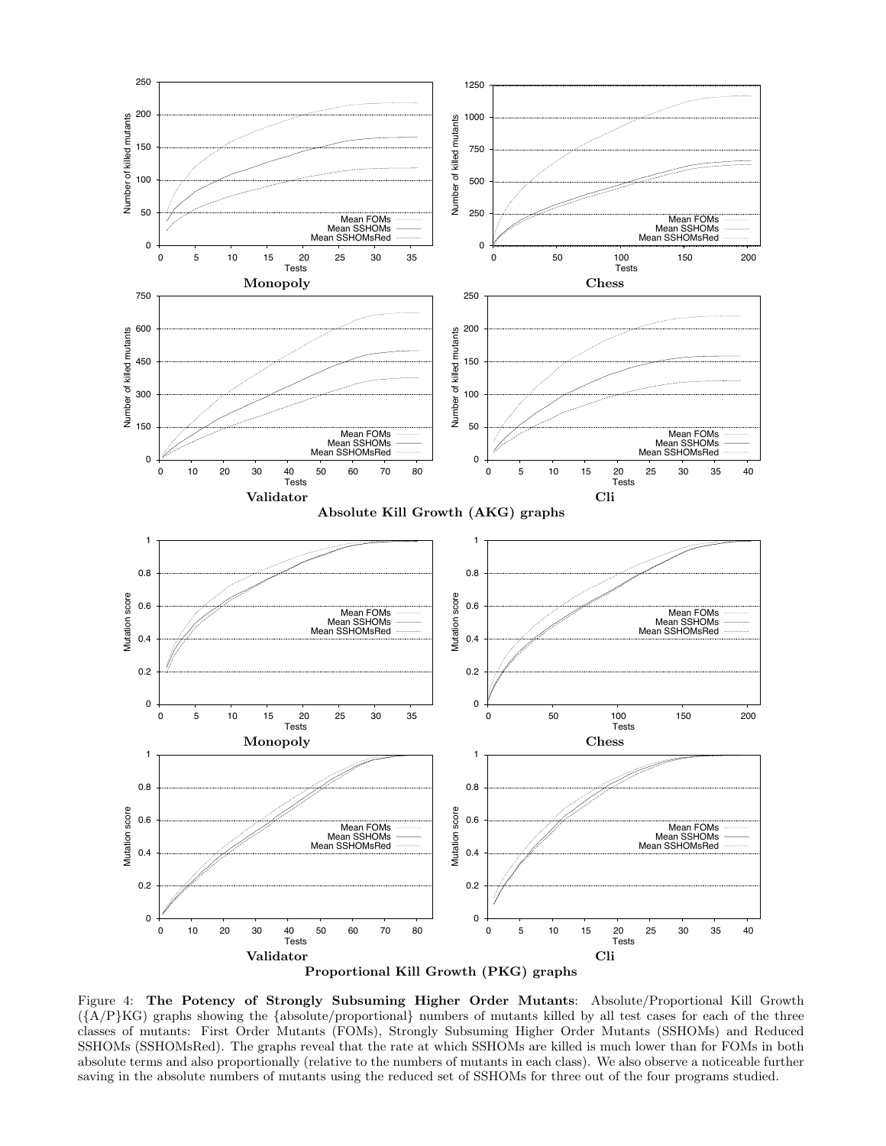

Proportional Kill Growth (PKG) graphs

Figure 4: The Potency of Strongly Subsuming Higher Order Mutants: Absolute/Proportional Kill Growth ({A/P}KG) graphs showing the {absolute/proportional} numbers of mutants killed by all test cases for each of the three classes of mutants: First Order Mutants (FOMs), Strongly Subsuming Higher Order Mutants (SSHOMs) and Reduced SSHOMs (SSHOMsRed). The graphs reveal that the rate at which SSHOMs are killed is much lower than for FOMs in both absolute terms and also proportionally (relative to the numbers of mutants in each class). We also observe a noticeable further saving in the absolute numbers of mutants using the reduced set of SSHOMs for three out of the four programs studied.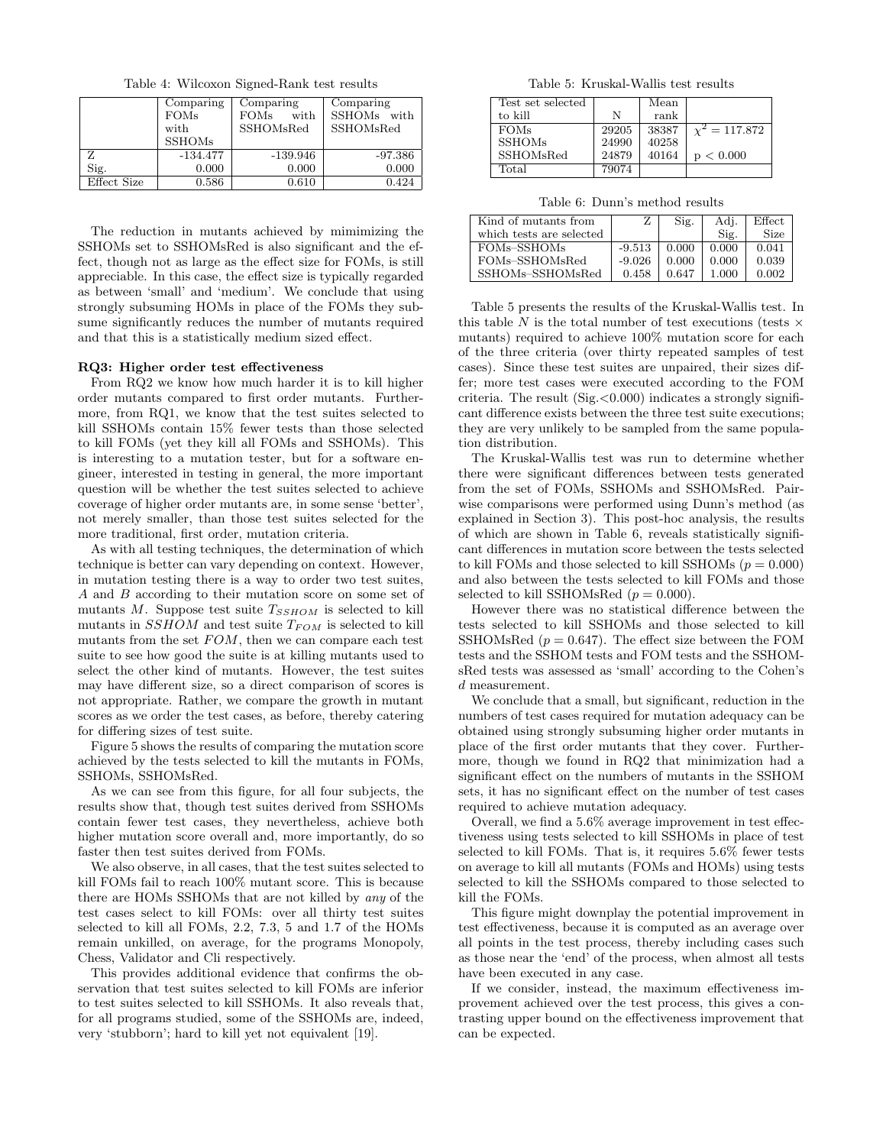Table 4: Wilcoxon Signed-Rank test results

|             | Comparing<br><b>FOMs</b> | Comparing<br><b>FOMs</b><br>with | Comparing<br>SSHOMs with |
|-------------|--------------------------|----------------------------------|--------------------------|
|             | with                     | SSHOMsRed                        | SSHOMsRed                |
|             | <b>SSHOMs</b>            |                                  |                          |
| Z           | $-134.477$               | $-139.946$                       | -97.386                  |
| Sig.        | 0.000                    | 0.000                            | 0.000                    |
| Effect Size | 0.586                    | 0.610                            | 0.424                    |

The reduction in mutants achieved by mimimizing the SSHOMs set to SSHOMsRed is also significant and the effect, though not as large as the effect size for FOMs, is still appreciable. In this case, the effect size is typically regarded as between 'small' and 'medium'. We conclude that using strongly subsuming HOMs in place of the FOMs they subsume significantly reduces the number of mutants required and that this is a statistically medium sized effect.

#### RQ3: Higher order test effectiveness

From RQ2 we know how much harder it is to kill higher order mutants compared to first order mutants. Furthermore, from RQ1, we know that the test suites selected to kill SSHOMs contain 15% fewer tests than those selected to kill FOMs (yet they kill all FOMs and SSHOMs). This is interesting to a mutation tester, but for a software engineer, interested in testing in general, the more important question will be whether the test suites selected to achieve coverage of higher order mutants are, in some sense 'better', not merely smaller, than those test suites selected for the more traditional, first order, mutation criteria.

As with all testing techniques, the determination of which technique is better can vary depending on context. However, in mutation testing there is a way to order two test suites, A and B according to their mutation score on some set of mutants  $M$ . Suppose test suite  $T_{SSHOM}$  is selected to kill mutants in  $SSHOM$  and test suite  $T_{FOM}$  is selected to kill mutants from the set  $FOM$ , then we can compare each test suite to see how good the suite is at killing mutants used to select the other kind of mutants. However, the test suites may have different size, so a direct comparison of scores is not appropriate. Rather, we compare the growth in mutant scores as we order the test cases, as before, thereby catering for differing sizes of test suite.

Figure 5 shows the results of comparing the mutation score achieved by the tests selected to kill the mutants in FOMs, SSHOMs, SSHOMsRed.

As we can see from this figure, for all four subjects, the results show that, though test suites derived from SSHOMs contain fewer test cases, they nevertheless, achieve both higher mutation score overall and, more importantly, do so faster then test suites derived from FOMs.

We also observe, in all cases, that the test suites selected to kill FOMs fail to reach 100% mutant score. This is because there are HOMs SSHOMs that are not killed by any of the test cases select to kill FOMs: over all thirty test suites selected to kill all FOMs, 2.2, 7.3, 5 and 1.7 of the HOMs remain unkilled, on average, for the programs Monopoly, Chess, Validator and Cli respectively.

This provides additional evidence that confirms the observation that test suites selected to kill FOMs are inferior to test suites selected to kill SSHOMs. It also reveals that, for all programs studied, some of the SSHOMs are, indeed, very 'stubborn'; hard to kill yet not equivalent [19].

Table 5: Kruskal-Wallis test results

| Test set selected |       | Mean  |                 |
|-------------------|-------|-------|-----------------|
| to kill           | N     | rank  |                 |
| <b>FOMs</b>       | 29205 | 38387 | $x^2 = 117.872$ |
| <b>SSHOMs</b>     | 24990 | 40258 |                 |
| SSHOMsRed         | 24879 | 40164 | p < 0.000       |
| Total             | 79074 |       |                 |

Table 6: Dunn's method results

| Kind of mutants from<br>which tests are selected | z                 | Sig.           | Adi.<br>Sig. | <b>Effect</b><br>Size |
|--------------------------------------------------|-------------------|----------------|--------------|-----------------------|
| FOMs-SSHOMs                                      | $-9.513$          | 0.000          | 0.000        | 0.041                 |
| FOMs-SSHOMsRed<br>SSHOMs-SSHOMsRed               | $-9.026$<br>0.458 | 0.000<br>0.647 | 0.000        | 0.039<br>0.002        |

Table 5 presents the results of the Kruskal-Wallis test. In this table  $N$  is the total number of test executions (tests  $\times$ mutants) required to achieve 100% mutation score for each of the three criteria (over thirty repeated samples of test cases). Since these test suites are unpaired, their sizes differ; more test cases were executed according to the FOM criteria. The result  $(Sig.<0.000)$  indicates a strongly significant difference exists between the three test suite executions; they are very unlikely to be sampled from the same population distribution.

The Kruskal-Wallis test was run to determine whether there were significant differences between tests generated from the set of FOMs, SSHOMs and SSHOMsRed. Pairwise comparisons were performed using Dunn's method (as explained in Section 3). This post-hoc analysis, the results of which are shown in Table 6, reveals statistically significant differences in mutation score between the tests selected to kill FOMs and those selected to kill SSHOMs  $(p = 0.000)$ and also between the tests selected to kill FOMs and those selected to kill SSHOMsRed  $(p = 0.000)$ .

However there was no statistical difference between the tests selected to kill SSHOMs and those selected to kill SSHOMsRed  $(p = 0.647)$ . The effect size between the FOM tests and the SSHOM tests and FOM tests and the SSHOMsRed tests was assessed as 'small' according to the Cohen's d measurement.

We conclude that a small, but significant, reduction in the numbers of test cases required for mutation adequacy can be obtained using strongly subsuming higher order mutants in place of the first order mutants that they cover. Furthermore, though we found in RQ2 that minimization had a significant effect on the numbers of mutants in the SSHOM sets, it has no significant effect on the number of test cases required to achieve mutation adequacy.

Overall, we find a 5.6% average improvement in test effectiveness using tests selected to kill SSHOMs in place of test selected to kill FOMs. That is, it requires 5.6% fewer tests on average to kill all mutants (FOMs and HOMs) using tests selected to kill the SSHOMs compared to those selected to kill the FOMs.

This figure might downplay the potential improvement in test effectiveness, because it is computed as an average over all points in the test process, thereby including cases such as those near the 'end' of the process, when almost all tests have been executed in any case.

If we consider, instead, the maximum effectiveness improvement achieved over the test process, this gives a contrasting upper bound on the effectiveness improvement that can be expected.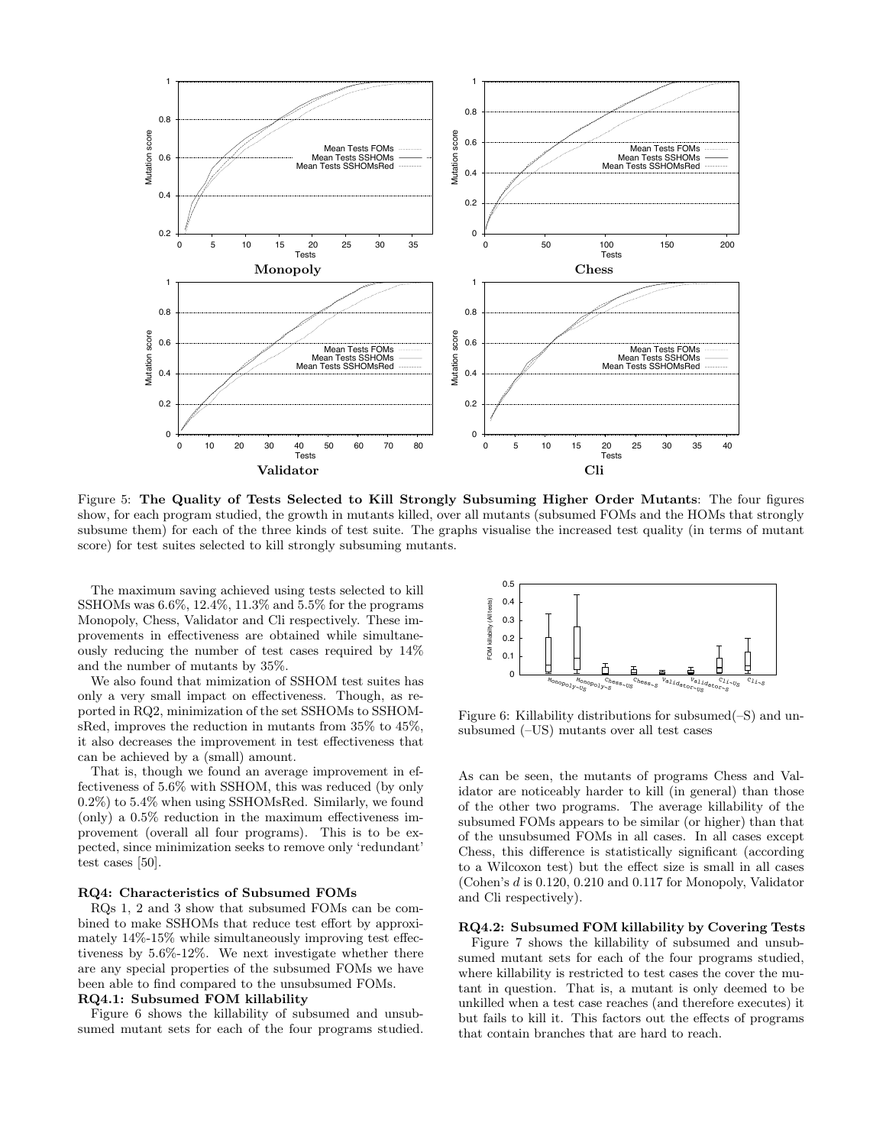

Figure 5: The Quality of Tests Selected to Kill Strongly Subsuming Higher Order Mutants: The four figures show, for each program studied, the growth in mutants killed, over all mutants (subsumed FOMs and the HOMs that strongly subsume them) for each of the three kinds of test suite. The graphs visualise the increased test quality (in terms of mutant score) for test suites selected to kill strongly subsuming mutants.

The maximum saving achieved using tests selected to kill SSHOMs was 6.6%, 12.4%, 11.3% and 5.5% for the programs Monopoly, Chess, Validator and Cli respectively. These improvements in effectiveness are obtained while simultaneously reducing the number of test cases required by 14% and the number of mutants by 35%.

We also found that mimization of SSHOM test suites has only a very small impact on effectiveness. Though, as reported in RQ2, minimization of the set SSHOMs to SSHOMsRed, improves the reduction in mutants from 35% to 45%, it also decreases the improvement in test effectiveness that can be achieved by a (small) amount.

That is, though we found an average improvement in effectiveness of 5.6% with SSHOM, this was reduced (by only 0.2%) to 5.4% when using SSHOMsRed. Similarly, we found (only) a 0.5% reduction in the maximum effectiveness improvement (overall all four programs). This is to be expected, since minimization seeks to remove only 'redundant' test cases [50].

#### RQ4: Characteristics of Subsumed FOMs

RQs 1, 2 and 3 show that subsumed FOMs can be combined to make SSHOMs that reduce test effort by approximately 14%-15% while simultaneously improving test effectiveness by 5.6%-12%. We next investigate whether there are any special properties of the subsumed FOMs we have been able to find compared to the unsubsumed FOMs. RQ4.1: Subsumed FOM killability

#### Figure 6 shows the killability of subsumed and unsubsumed mutant sets for each of the four programs studied.



Figure 6: Killability distributions for subsumed(–S) and unsubsumed (–US) mutants over all test cases

As can be seen, the mutants of programs Chess and Validator are noticeably harder to kill (in general) than those of the other two programs. The average killability of the subsumed FOMs appears to be similar (or higher) than that of the unsubsumed FOMs in all cases. In all cases except Chess, this difference is statistically significant (according to a Wilcoxon test) but the effect size is small in all cases (Cohen's d is 0.120, 0.210 and 0.117 for Monopoly, Validator and Cli respectively).

#### RQ4.2: Subsumed FOM killability by Covering Tests

Figure 7 shows the killability of subsumed and unsubsumed mutant sets for each of the four programs studied, where killability is restricted to test cases the cover the mutant in question. That is, a mutant is only deemed to be unkilled when a test case reaches (and therefore executes) it but fails to kill it. This factors out the effects of programs that contain branches that are hard to reach.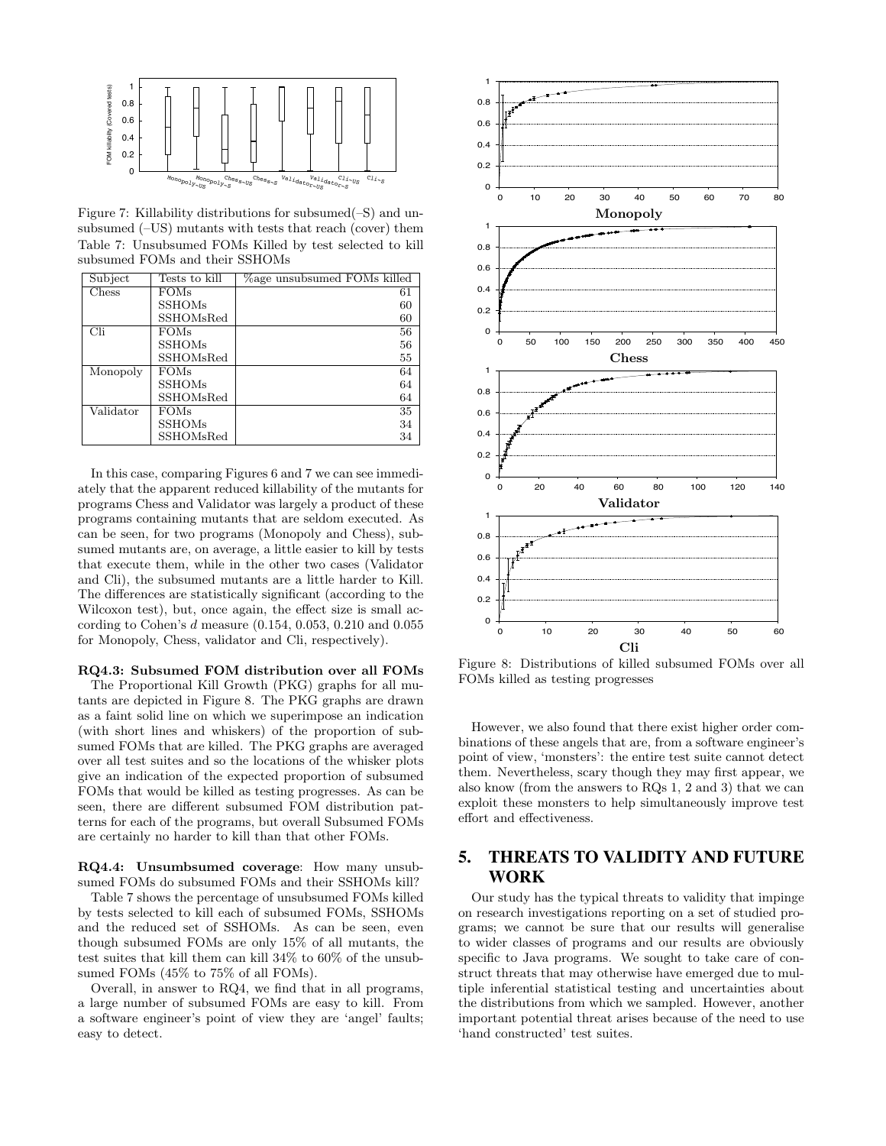

Figure 7: Killability distributions for subsumed(–S) and unsubsumed (–US) mutants with tests that reach (cover) them Table 7: Unsubsumed FOMs Killed by test selected to kill subsumed FOMs and their SSHOMs

| Subject                      | Tests to kill | <b>Zage unsubsumed FOMs killed</b> |
|------------------------------|---------------|------------------------------------|
| $\overline{\mathrm{C}}$ hess | FOMs          | 61                                 |
|                              | <b>SSHOMs</b> | 60                                 |
|                              | SSHOMsRed     | 60                                 |
| $\overline{\text{Cli}}$      | <b>FOMs</b>   | 56                                 |
|                              | <b>SSHOMs</b> | 56                                 |
|                              | SSHOMsRed     | 55                                 |
| Monopoly                     | <b>FOMs</b>   | 64                                 |
|                              | <b>SSHOMs</b> | 64                                 |
|                              | SSHOMsRed     | 64                                 |
| Validator                    | FOMs          | 35                                 |
|                              | <b>SSHOMs</b> | 34                                 |
|                              | SSHOMsRed     | 34                                 |

In this case, comparing Figures 6 and 7 we can see immediately that the apparent reduced killability of the mutants for programs Chess and Validator was largely a product of these programs containing mutants that are seldom executed. As can be seen, for two programs (Monopoly and Chess), subsumed mutants are, on average, a little easier to kill by tests that execute them, while in the other two cases (Validator and Cli), the subsumed mutants are a little harder to Kill. The differences are statistically significant (according to the Wilcoxon test), but, once again, the effect size is small according to Cohen's d measure (0.154, 0.053, 0.210 and 0.055 for Monopoly, Chess, validator and Cli, respectively).

RQ4.3: Subsumed FOM distribution over all FOMs

The Proportional Kill Growth (PKG) graphs for all mutants are depicted in Figure 8. The PKG graphs are drawn as a faint solid line on which we superimpose an indication (with short lines and whiskers) of the proportion of subsumed FOMs that are killed. The PKG graphs are averaged over all test suites and so the locations of the whisker plots give an indication of the expected proportion of subsumed FOMs that would be killed as testing progresses. As can be seen, there are different subsumed FOM distribution patterns for each of the programs, but overall Subsumed FOMs are certainly no harder to kill than that other FOMs.

RQ4.4: Unsumbsumed coverage: How many unsubsumed FOMs do subsumed FOMs and their SSHOMs kill?

Table 7 shows the percentage of unsubsumed FOMs killed by tests selected to kill each of subsumed FOMs, SSHOMs and the reduced set of SSHOMs. As can be seen, even though subsumed FOMs are only 15% of all mutants, the test suites that kill them can kill 34% to 60% of the unsubsumed FOMs (45% to 75% of all FOMs).

Overall, in answer to RQ4, we find that in all programs, a large number of subsumed FOMs are easy to kill. From a software engineer's point of view they are 'angel' faults; easy to detect.



Figure 8: Distributions of killed subsumed FOMs over all FOMs killed as testing progresses

However, we also found that there exist higher order combinations of these angels that are, from a software engineer's point of view, 'monsters': the entire test suite cannot detect them. Nevertheless, scary though they may first appear, we also know (from the answers to RQs 1, 2 and 3) that we can exploit these monsters to help simultaneously improve test effort and effectiveness.

# 5. THREATS TO VALIDITY AND FUTURE WORK

Our study has the typical threats to validity that impinge on research investigations reporting on a set of studied programs; we cannot be sure that our results will generalise to wider classes of programs and our results are obviously specific to Java programs. We sought to take care of construct threats that may otherwise have emerged due to multiple inferential statistical testing and uncertainties about the distributions from which we sampled. However, another important potential threat arises because of the need to use 'hand constructed' test suites.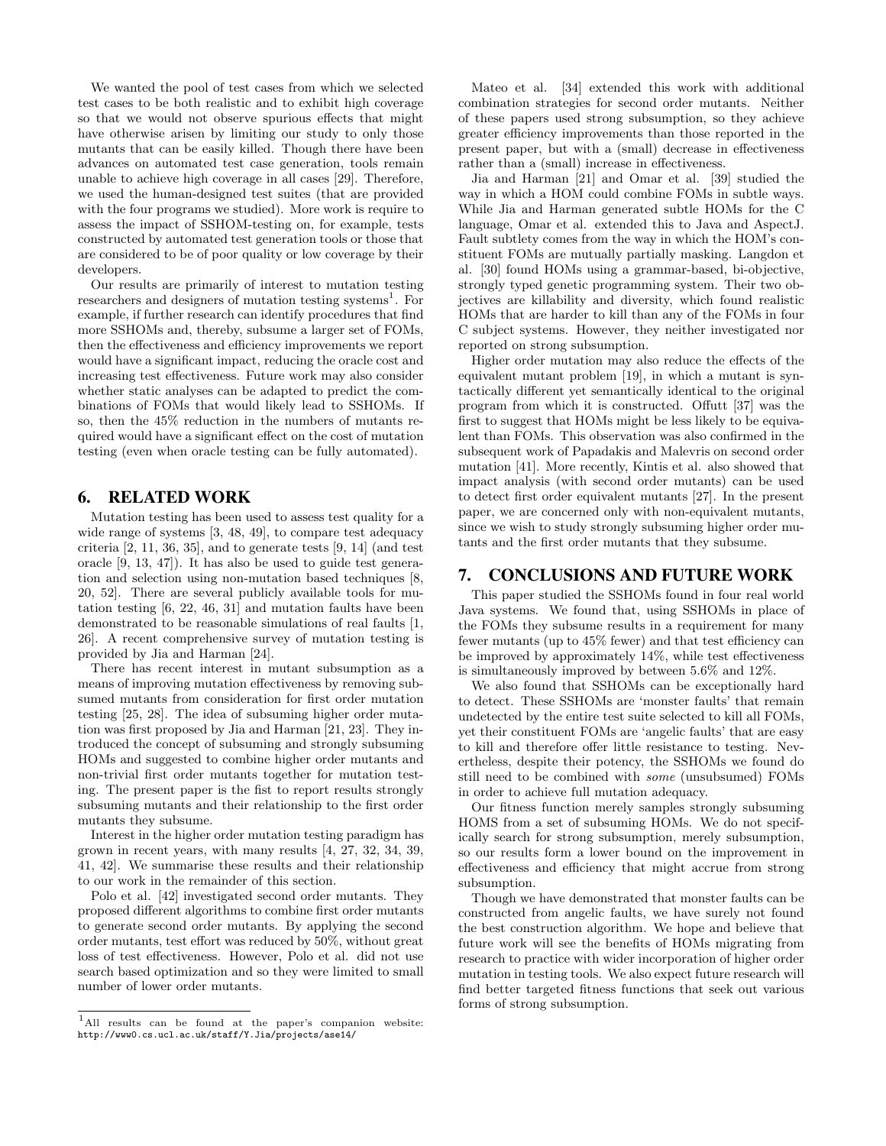We wanted the pool of test cases from which we selected test cases to be both realistic and to exhibit high coverage so that we would not observe spurious effects that might have otherwise arisen by limiting our study to only those mutants that can be easily killed. Though there have been advances on automated test case generation, tools remain unable to achieve high coverage in all cases [29]. Therefore, we used the human-designed test suites (that are provided with the four programs we studied). More work is require to assess the impact of SSHOM-testing on, for example, tests constructed by automated test generation tools or those that are considered to be of poor quality or low coverage by their developers.

Our results are primarily of interest to mutation testing researchers and designers of mutation testing systems<sup>1</sup>. For example, if further research can identify procedures that find more SSHOMs and, thereby, subsume a larger set of FOMs, then the effectiveness and efficiency improvements we report would have a significant impact, reducing the oracle cost and increasing test effectiveness. Future work may also consider whether static analyses can be adapted to predict the combinations of FOMs that would likely lead to SSHOMs. If so, then the 45% reduction in the numbers of mutants required would have a significant effect on the cost of mutation testing (even when oracle testing can be fully automated).

# 6. RELATED WORK

Mutation testing has been used to assess test quality for a wide range of systems [3, 48, 49], to compare test adequacy criteria [2, 11, 36, 35], and to generate tests [9, 14] (and test oracle [9, 13, 47]). It has also be used to guide test generation and selection using non-mutation based techniques [8, 20, 52]. There are several publicly available tools for mutation testing [6, 22, 46, 31] and mutation faults have been demonstrated to be reasonable simulations of real faults [1, 26]. A recent comprehensive survey of mutation testing is provided by Jia and Harman [24].

There has recent interest in mutant subsumption as a means of improving mutation effectiveness by removing subsumed mutants from consideration for first order mutation testing [25, 28]. The idea of subsuming higher order mutation was first proposed by Jia and Harman [21, 23]. They introduced the concept of subsuming and strongly subsuming HOMs and suggested to combine higher order mutants and non-trivial first order mutants together for mutation testing. The present paper is the fist to report results strongly subsuming mutants and their relationship to the first order mutants they subsume.

Interest in the higher order mutation testing paradigm has grown in recent years, with many results [4, 27, 32, 34, 39, 41, 42]. We summarise these results and their relationship to our work in the remainder of this section.

Polo et al. [42] investigated second order mutants. They proposed different algorithms to combine first order mutants to generate second order mutants. By applying the second order mutants, test effort was reduced by 50%, without great loss of test effectiveness. However, Polo et al. did not use search based optimization and so they were limited to small number of lower order mutants.

Mateo et al. [34] extended this work with additional combination strategies for second order mutants. Neither of these papers used strong subsumption, so they achieve greater efficiency improvements than those reported in the present paper, but with a (small) decrease in effectiveness rather than a (small) increase in effectiveness.

Jia and Harman [21] and Omar et al. [39] studied the way in which a HOM could combine FOMs in subtle ways. While Jia and Harman generated subtle HOMs for the C language, Omar et al. extended this to Java and AspectJ. Fault subtlety comes from the way in which the HOM's constituent FOMs are mutually partially masking. Langdon et al. [30] found HOMs using a grammar-based, bi-objective, strongly typed genetic programming system. Their two objectives are killability and diversity, which found realistic HOMs that are harder to kill than any of the FOMs in four C subject systems. However, they neither investigated nor reported on strong subsumption.

Higher order mutation may also reduce the effects of the equivalent mutant problem [19], in which a mutant is syntactically different yet semantically identical to the original program from which it is constructed. Offutt [37] was the first to suggest that HOMs might be less likely to be equivalent than FOMs. This observation was also confirmed in the subsequent work of Papadakis and Malevris on second order mutation [41]. More recently, Kintis et al. also showed that impact analysis (with second order mutants) can be used to detect first order equivalent mutants [27]. In the present paper, we are concerned only with non-equivalent mutants, since we wish to study strongly subsuming higher order mutants and the first order mutants that they subsume.

# 7. CONCLUSIONS AND FUTURE WORK

This paper studied the SSHOMs found in four real world Java systems. We found that, using SSHOMs in place of the FOMs they subsume results in a requirement for many fewer mutants (up to 45% fewer) and that test efficiency can be improved by approximately 14%, while test effectiveness is simultaneously improved by between 5.6% and 12%.

We also found that SSHOMs can be exceptionally hard to detect. These SSHOMs are 'monster faults' that remain undetected by the entire test suite selected to kill all FOMs, yet their constituent FOMs are 'angelic faults' that are easy to kill and therefore offer little resistance to testing. Nevertheless, despite their potency, the SSHOMs we found do still need to be combined with some (unsubsumed) FOMs in order to achieve full mutation adequacy.

Our fitness function merely samples strongly subsuming HOMS from a set of subsuming HOMs. We do not specifically search for strong subsumption, merely subsumption, so our results form a lower bound on the improvement in effectiveness and efficiency that might accrue from strong subsumption.

Though we have demonstrated that monster faults can be constructed from angelic faults, we have surely not found the best construction algorithm. We hope and believe that future work will see the benefits of HOMs migrating from research to practice with wider incorporation of higher order mutation in testing tools. We also expect future research will find better targeted fitness functions that seek out various forms of strong subsumption.

<sup>1</sup>All results can be found at the paper's companion website: http://www0.cs.ucl.ac.uk/staff/Y.Jia/projects/ase14/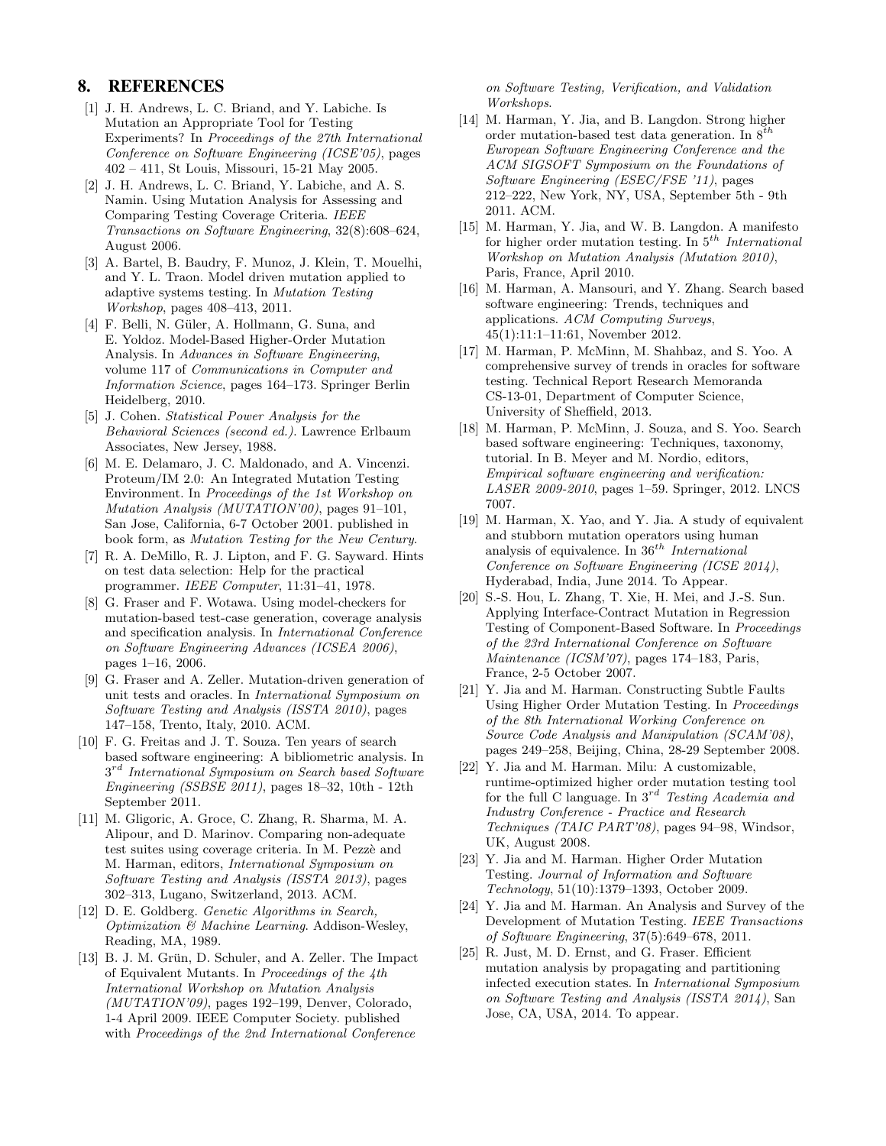# 8. REFERENCES

- [1] J. H. Andrews, L. C. Briand, and Y. Labiche. Is Mutation an Appropriate Tool for Testing Experiments? In Proceedings of the 27th International Conference on Software Engineering (ICSE'05), pages 402 – 411, St Louis, Missouri, 15-21 May 2005.
- [2] J. H. Andrews, L. C. Briand, Y. Labiche, and A. S. Namin. Using Mutation Analysis for Assessing and Comparing Testing Coverage Criteria. IEEE Transactions on Software Engineering, 32(8):608–624, August 2006.
- [3] A. Bartel, B. Baudry, F. Munoz, J. Klein, T. Mouelhi, and Y. L. Traon. Model driven mutation applied to adaptive systems testing. In Mutation Testing Workshop, pages 408–413, 2011.
- [4] F. Belli, N. Güler, A. Hollmann, G. Suna, and E. Yoldoz. Model-Based Higher-Order Mutation Analysis. In Advances in Software Engineering, volume 117 of Communications in Computer and Information Science, pages 164–173. Springer Berlin Heidelberg, 2010.
- [5] J. Cohen. Statistical Power Analysis for the Behavioral Sciences (second ed.). Lawrence Erlbaum Associates, New Jersey, 1988.
- [6] M. E. Delamaro, J. C. Maldonado, and A. Vincenzi. Proteum/IM 2.0: An Integrated Mutation Testing Environment. In Proceedings of the 1st Workshop on Mutation Analysis (MUTATION'00), pages 91–101, San Jose, California, 6-7 October 2001. published in book form, as Mutation Testing for the New Century.
- [7] R. A. DeMillo, R. J. Lipton, and F. G. Sayward. Hints on test data selection: Help for the practical programmer. IEEE Computer, 11:31–41, 1978.
- [8] G. Fraser and F. Wotawa. Using model-checkers for mutation-based test-case generation, coverage analysis and specification analysis. In International Conference on Software Engineering Advances (ICSEA 2006), pages 1–16, 2006.
- [9] G. Fraser and A. Zeller. Mutation-driven generation of unit tests and oracles. In International Symposium on Software Testing and Analysis (ISSTA 2010), pages 147–158, Trento, Italy, 2010. ACM.
- [10] F. G. Freitas and J. T. Souza. Ten years of search based software engineering: A bibliometric analysis. In  $3^{rd}$  International Symposium on Search based Software Engineering (SSBSE 2011), pages  $18-32$ , 10th - 12th September 2011.
- [11] M. Gligoric, A. Groce, C. Zhang, R. Sharma, M. A. Alipour, and D. Marinov. Comparing non-adequate test suites using coverage criteria. In M. Pezzè and M. Harman, editors, International Symposium on Software Testing and Analysis (ISSTA 2013), pages 302–313, Lugano, Switzerland, 2013. ACM.
- [12] D. E. Goldberg. Genetic Algorithms in Search, Optimization & Machine Learning. Addison-Wesley, Reading, MA, 1989.
- [13] B. J. M. Grün, D. Schuler, and A. Zeller. The Impact of Equivalent Mutants. In Proceedings of the 4th International Workshop on Mutation Analysis (MUTATION'09), pages 192–199, Denver, Colorado, 1-4 April 2009. IEEE Computer Society. published with Proceedings of the 2nd International Conference

on Software Testing, Verification, and Validation Workshops.

- [14] M. Harman, Y. Jia, and B. Langdon. Strong higher order mutation-based test data generation. In  $8^{th}$ European Software Engineering Conference and the ACM SIGSOFT Symposium on the Foundations of Software Engineering (ESEC/FSE '11), pages 212–222, New York, NY, USA, September 5th - 9th 2011. ACM.
- [15] M. Harman, Y. Jia, and W. B. Langdon. A manifesto for higher order mutation testing. In  $5^{th}$  International Workshop on Mutation Analysis (Mutation 2010), Paris, France, April 2010.
- [16] M. Harman, A. Mansouri, and Y. Zhang. Search based software engineering: Trends, techniques and applications. ACM Computing Surveys, 45(1):11:1–11:61, November 2012.
- [17] M. Harman, P. McMinn, M. Shahbaz, and S. Yoo. A comprehensive survey of trends in oracles for software testing. Technical Report Research Memoranda CS-13-01, Department of Computer Science, University of Sheffield, 2013.
- [18] M. Harman, P. McMinn, J. Souza, and S. Yoo. Search based software engineering: Techniques, taxonomy, tutorial. In B. Meyer and M. Nordio, editors, Empirical software engineering and verification: LASER 2009-2010, pages 1–59. Springer, 2012. LNCS 7007.
- [19] M. Harman, X. Yao, and Y. Jia. A study of equivalent and stubborn mutation operators using human analysis of equivalence. In  $36<sup>th</sup> International$ Conference on Software Engineering (ICSE 2014), Hyderabad, India, June 2014. To Appear.
- [20] S.-S. Hou, L. Zhang, T. Xie, H. Mei, and J.-S. Sun. Applying Interface-Contract Mutation in Regression Testing of Component-Based Software. In Proceedings of the 23rd International Conference on Software Maintenance (ICSM'07), pages 174–183, Paris, France, 2-5 October 2007.
- [21] Y. Jia and M. Harman. Constructing Subtle Faults Using Higher Order Mutation Testing. In Proceedings of the 8th International Working Conference on Source Code Analysis and Manipulation (SCAM'08), pages 249–258, Beijing, China, 28-29 September 2008.
- [22] Y. Jia and M. Harman. Milu: A customizable, runtime-optimized higher order mutation testing tool for the full C language. In  $3^{rd}$  Testing Academia and Industry Conference - Practice and Research Techniques (TAIC PART'08), pages 94–98, Windsor, UK, August 2008.
- [23] Y. Jia and M. Harman. Higher Order Mutation Testing. Journal of Information and Software Technology, 51(10):1379–1393, October 2009.
- [24] Y. Jia and M. Harman. An Analysis and Survey of the Development of Mutation Testing. IEEE Transactions of Software Engineering, 37(5):649–678, 2011.
- [25] R. Just, M. D. Ernst, and G. Fraser. Efficient mutation analysis by propagating and partitioning infected execution states. In International Symposium on Software Testing and Analysis (ISSTA 2014), San Jose, CA, USA, 2014. To appear.